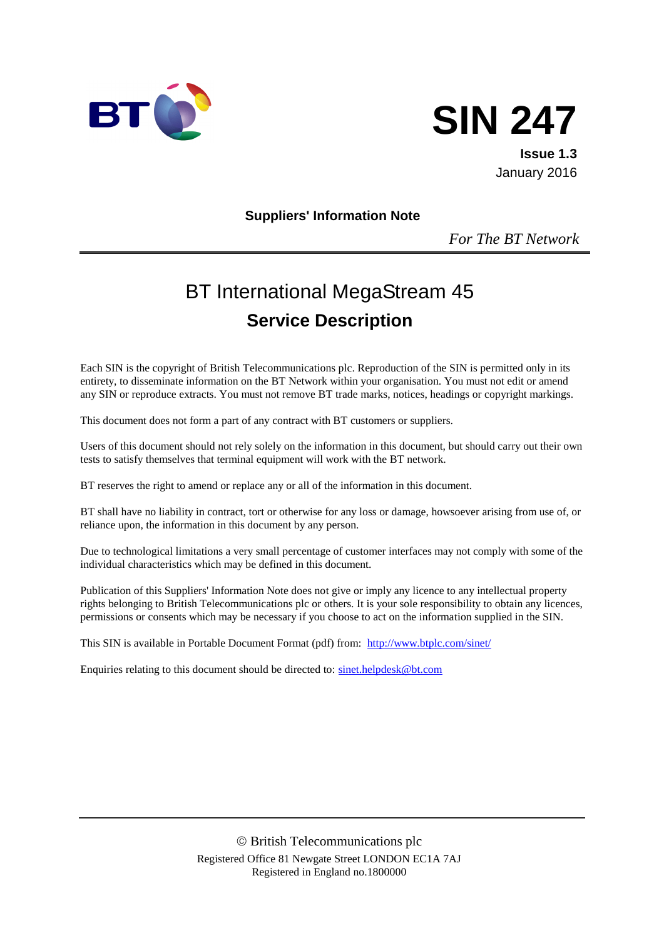



**Issue 1.3** January 2016

#### **Suppliers' Information Note**

*For The BT Network*

# BT International MegaStream 45 **Service Description**

Each SIN is the copyright of British Telecommunications plc. Reproduction of the SIN is permitted only in its entirety, to disseminate information on the BT Network within your organisation. You must not edit or amend any SIN or reproduce extracts. You must not remove BT trade marks, notices, headings or copyright markings.

This document does not form a part of any contract with BT customers or suppliers.

Users of this document should not rely solely on the information in this document, but should carry out their own tests to satisfy themselves that terminal equipment will work with the BT network.

BT reserves the right to amend or replace any or all of the information in this document.

BT shall have no liability in contract, tort or otherwise for any loss or damage, howsoever arising from use of, or reliance upon, the information in this document by any person.

Due to technological limitations a very small percentage of customer interfaces may not comply with some of the individual characteristics which may be defined in this document.

Publication of this Suppliers' Information Note does not give or imply any licence to any intellectual property rights belonging to British Telecommunications plc or others. It is your sole responsibility to obtain any licences, permissions or consents which may be necessary if you choose to act on the information supplied in the SIN.

This SIN is available in Portable Document Format (pdf) from: <http://www.btplc.com/sinet/>

Enquiries relating to this document should be directed to: [sinet.helpdesk@bt.com](mailto:sinet.helpdesk@bt.com)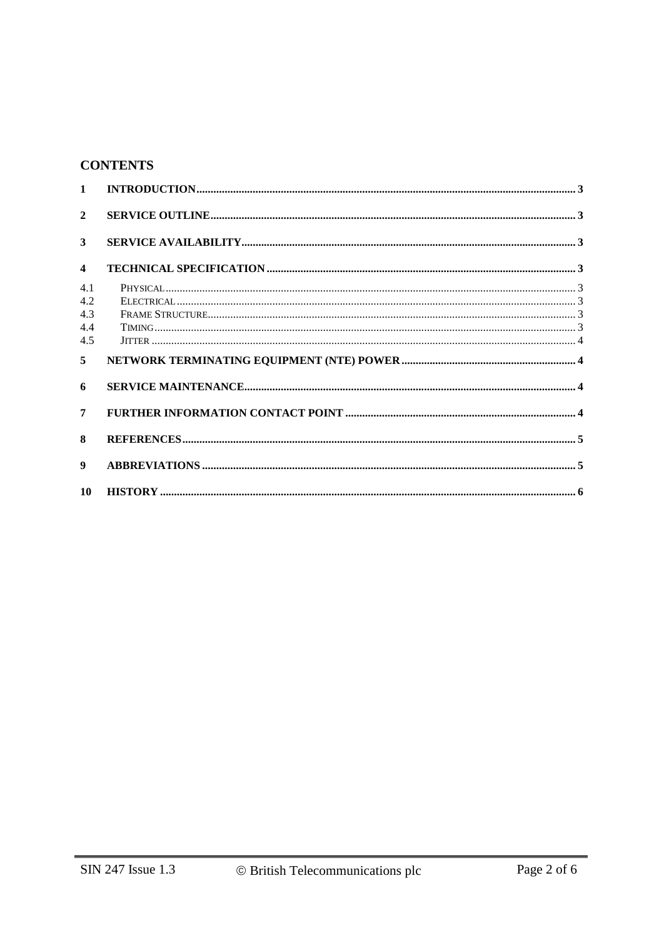## **CONTENTS**

| $\mathbf{1}$            |  |
|-------------------------|--|
| $\overline{2}$          |  |
| 3                       |  |
| $\overline{\mathbf{4}}$ |  |
| 4.1                     |  |
| 4.2                     |  |
| 4.3                     |  |
| 4.4                     |  |
| 4.5                     |  |
| 5                       |  |
| 6                       |  |
| 7                       |  |
| 8                       |  |
|                         |  |
| 9                       |  |
| 10                      |  |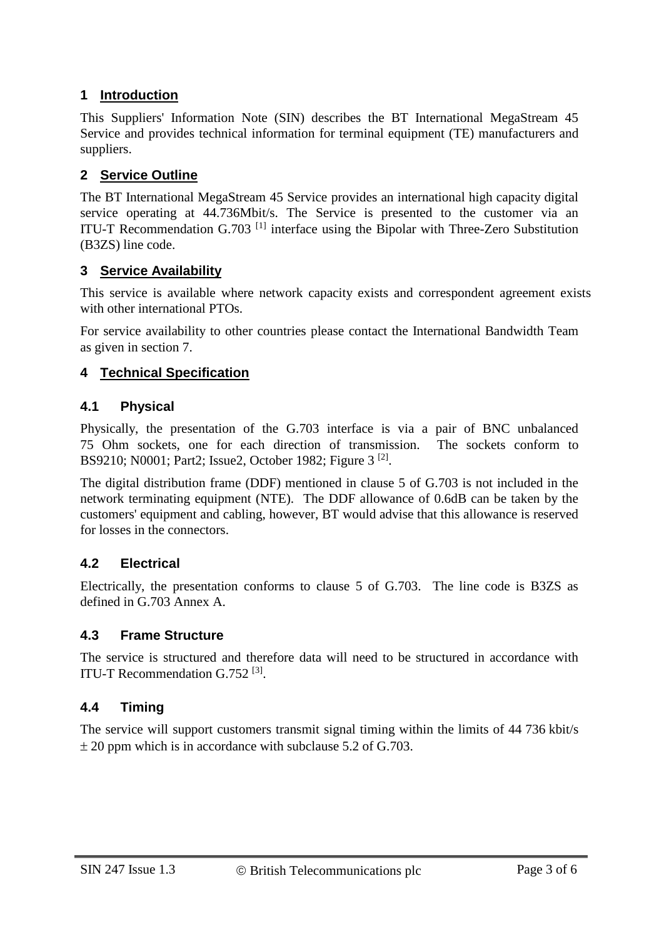## **1 Introduction**

This Suppliers' Information Note (SIN) describes the BT International MegaStream 45 Service and provides technical information for terminal equipment (TE) manufacturers and suppliers.

#### **2 Service Outline**

The BT International MegaStream 45 Service provides an international high capacity digital service operating at 44.736Mbit/s. The Service is presented to the customer via an ITU-T Recommendation  $G.703$ <sup>[1]</sup> interface using the Bipolar with Three-Zero Substitution (B3ZS) line code.

#### **3 Service Availability**

This service is available where network capacity exists and correspondent agreement exists with other international PTOs.

For service availability to other countries please contact the International Bandwidth Team as given in section 7.

#### **4 Technical Specification**

#### **4.1 Physical**

Physically, the presentation of the G.703 interface is via a pair of BNC unbalanced 75 Ohm sockets, one for each direction of transmission. The sockets conform to BS9210; N0001; Part2; Issue2, October 1982; Figure 3<sup>[2]</sup>.

The digital distribution frame (DDF) mentioned in clause 5 of G.703 is not included in the network terminating equipment (NTE). The DDF allowance of 0.6dB can be taken by the customers' equipment and cabling, however, BT would advise that this allowance is reserved for losses in the connectors.

#### **4.2 Electrical**

Electrically, the presentation conforms to clause 5 of G.703. The line code is B3ZS as defined in G.703 Annex A.

#### **4.3 Frame Structure**

The service is structured and therefore data will need to be structured in accordance with ITU-T Recommendation G.752<sup>[3]</sup>.

#### **4.4 Timing**

The service will support customers transmit signal timing within the limits of 44 736 kbit/s  $\pm$  20 ppm which is in accordance with subclause 5.2 of G.703.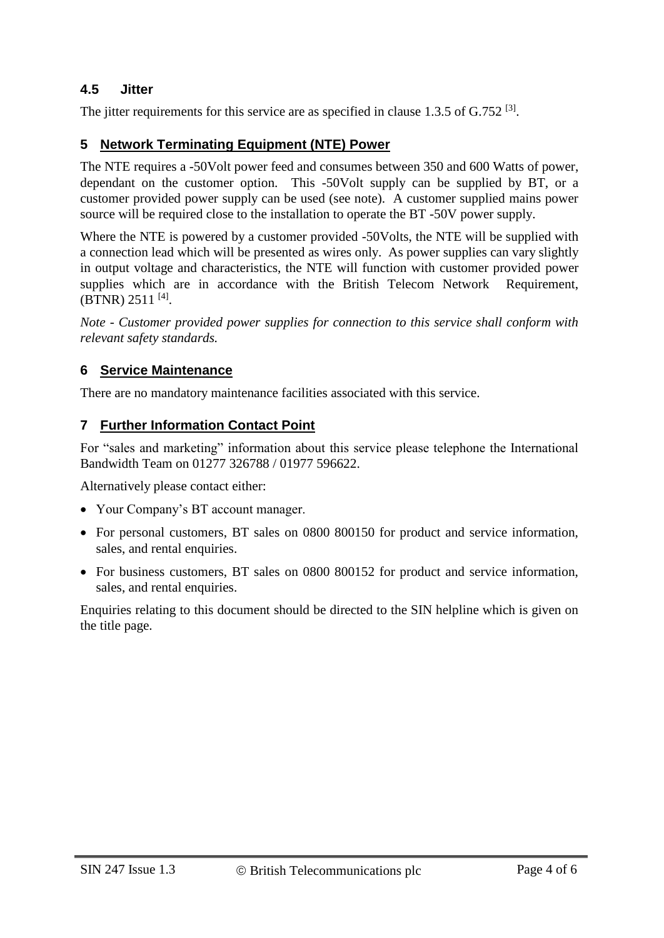#### **4.5 Jitter**

The jitter requirements for this service are as specified in clause  $1.3.5$  of  $G.752$  <sup>[3]</sup>.

#### **5 Network Terminating Equipment (NTE) Power**

The NTE requires a -50Volt power feed and consumes between 350 and 600 Watts of power, dependant on the customer option. This -50Volt supply can be supplied by BT, or a customer provided power supply can be used (see note). A customer supplied mains power source will be required close to the installation to operate the BT -50V power supply.

Where the NTE is powered by a customer provided -50Volts, the NTE will be supplied with a connection lead which will be presented as wires only. As power supplies can vary slightly in output voltage and characteristics, the NTE will function with customer provided power supplies which are in accordance with the British Telecom Network Requirement, (BTNR) 2511<sup>[4]</sup>.

*Note - Customer provided power supplies for connection to this service shall conform with relevant safety standards.* 

#### **6 Service Maintenance**

There are no mandatory maintenance facilities associated with this service.

#### **7 Further Information Contact Point**

For "sales and marketing" information about this service please telephone the International Bandwidth Team on 01277 326788 / 01977 596622.

Alternatively please contact either:

- Your Company's BT account manager.
- For personal customers, BT sales on 0800 800150 for product and service information, sales, and rental enquiries.
- For business customers, BT sales on 0800 800152 for product and service information, sales, and rental enquiries.

Enquiries relating to this document should be directed to the SIN helpline which is given on the title page.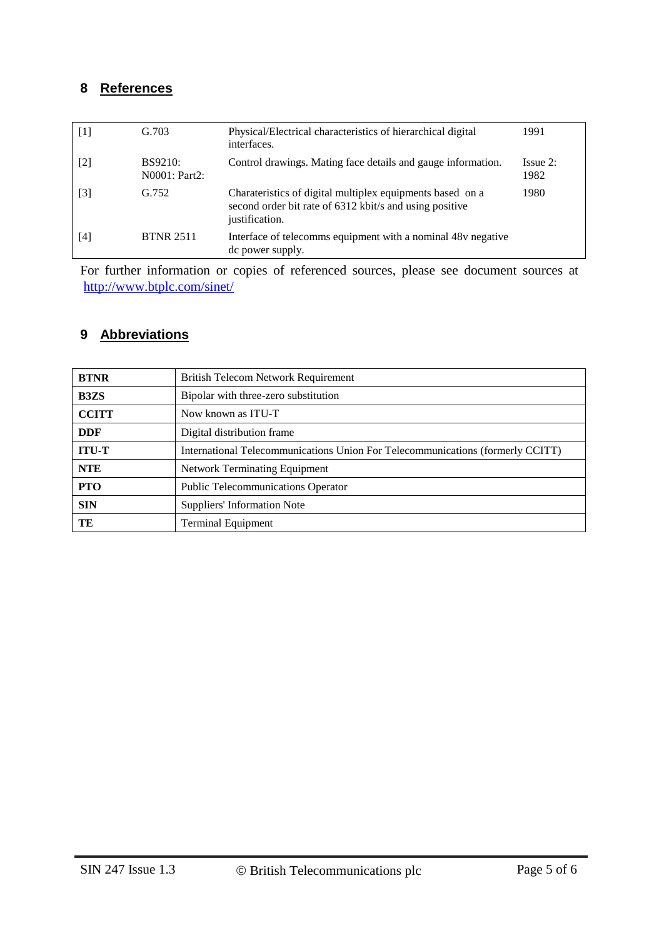## **8 References**

| $\lceil 1 \rceil$ | G.703                           | Physical/Electrical characteristics of hierarchical digital<br>interfaces.                                                             | 1991                |
|-------------------|---------------------------------|----------------------------------------------------------------------------------------------------------------------------------------|---------------------|
| [2]               | <b>BS9210:</b><br>N0001: Part2: | Control drawings. Mating face details and gauge information.                                                                           | $I$ ssue 2:<br>1982 |
| [3]               | G.752                           | Charateristics of digital multiplex equipments based on a<br>second order bit rate of 6312 kbit/s and using positive<br>justification. | 1980                |
| [4]               | <b>BTNR 2511</b>                | Interface of telecomms equipment with a nominal 48v negative<br>de power supply.                                                       |                     |

For further information or copies of referenced sources, please see document sources at <http://www.btplc.com/sinet/>

## **9 Abbreviations**

| <b>BTNR</b>  | <b>British Telecom Network Requirement</b>                                     |
|--------------|--------------------------------------------------------------------------------|
| <b>B3ZS</b>  | Bipolar with three-zero substitution                                           |
| <b>CCITT</b> | Now known as ITU-T                                                             |
| <b>DDF</b>   | Digital distribution frame                                                     |
| <b>ITU-T</b> | International Telecommunications Union For Telecommunications (formerly CCITT) |
| <b>NTE</b>   | <b>Network Terminating Equipment</b>                                           |
| <b>PTO</b>   | <b>Public Telecommunications Operator</b>                                      |
| <b>SIN</b>   | Suppliers' Information Note                                                    |
| TE           | <b>Terminal Equipment</b>                                                      |